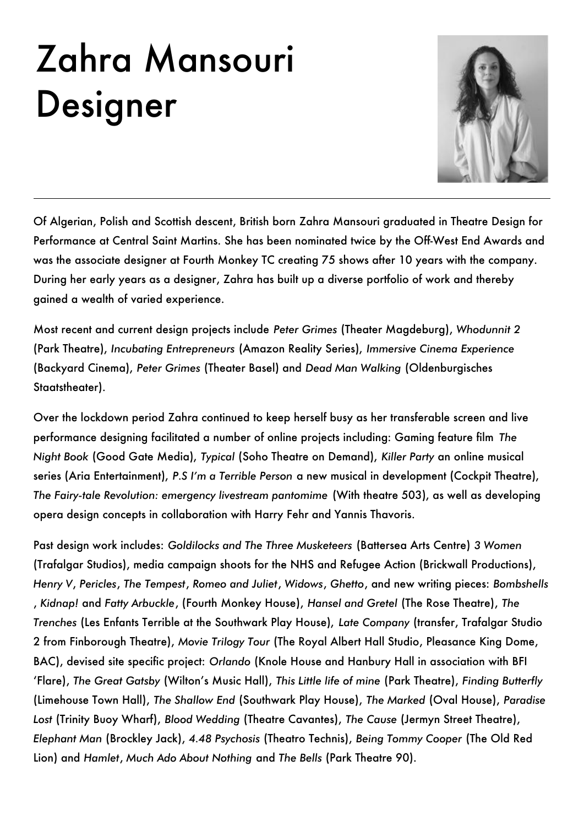## Zahra Mansouri Designer



Of Algerian, Polish and Scottish descent, British born Zahra Mansouri graduated in Theatre Design for Performance at Central Saint Martins. She has been nominated twice by the Off-West End Awards and was the associate designer at Fourth Monkey TC creating 75 shows after 10 years with the company. During her early years as a designer, Zahra has built up a diverse portfolio of work and thereby gained a wealth of varied experience.

Most recent and current design projects include Peter Grimes (Theater Magdeburg), Whodunnit 2 (Park Theatre), *Incubating Entrepreneurs* (Amazon Reality Series), *Immersive Cinema Experience* (Backyard Cinema), *Peter Grimes* (Theater Basel) and *Dead Man Walking* (Oldenburgisches Staatstheater).

Over the lockdown period Zahra continued to keep herself busy as her transferable screen and live performance designing facilitated a number of online projects including: Gaming feature film *The Night Book* (Good Gate Media), *Typical* (Soho Theatre on Demand), *Killer Party* an online musical series (Aria Entertainment), *P.S I'm a Terrible Person* a new musical in development (Cockpit Theatre), *The Fairy-tale Revolution: emergency livestream pantomime* (With theatre 503), as well as developing opera design concepts in collaboration with Harry Fehr and Yannis Thavoris.

Past design work includes: *Goldilocks and The Three Musketeers* (Battersea Arts Centre) *3 Women* (Trafalgar Studios), media campaign shoots for the NHS and Refugee Action (Brickwall Productions), *Henry V*' *Pericles*' *The Tempest*' *Romeo and Juliet*' *Widows*' *Ghetto*' and new writing pieces: *Bombshells* ' *Kidnap!* and *Fatty Arbuckle*' (Fourth Monkey House)' *Hansel and Gretel* (The Rose Theatre)' *The Trenches* (Les Enfants Terrible at the Southwark Play House), Late Company (transfer, Trafalgar Studio 2 from Finborough Theatre), Movie Trilogy Tour (The Royal Albert Hall Studio, Pleasance King Dome, BAC), devised site specific project: Orlando (Knole House and Hanbury Hall in association with BFI 'Flare), The Great Gatsby (Wilton's Music Hall), This Little life of mine (Park Theatre), Finding Butterfly (Limehouse Town Hall)' *The Shallow End* (Southwark Play House)' *The Marked* (Oval House)' *Paradise*  Lost (Trinity Buoy Wharf), Blood Wedding (Theatre Cavantes), The Cause (Jermyn Street Theatre), *Elephant Man* (Brockley Jack)' *4.48 Psychosis* (Theatro Technis)' *Being Tommy Cooper* (The Old Red Lion) and *Hamlet*' *Much Ado About Nothing* and *The Bells* (Park Theatre 90).